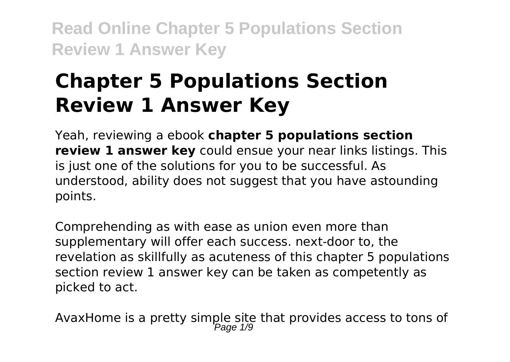# **Chapter 5 Populations Section Review 1 Answer Key**

Yeah, reviewing a ebook **chapter 5 populations section review 1 answer key** could ensue your near links listings. This is just one of the solutions for you to be successful. As understood, ability does not suggest that you have astounding points.

Comprehending as with ease as union even more than supplementary will offer each success. next-door to, the revelation as skillfully as acuteness of this chapter 5 populations section review 1 answer key can be taken as competently as picked to act.

AvaxHome is a pretty simple site that provides access to tons of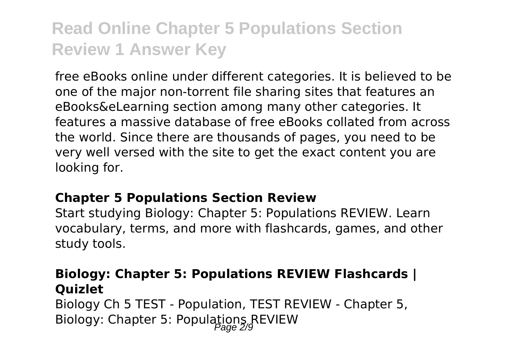free eBooks online under different categories. It is believed to be one of the major non-torrent file sharing sites that features an eBooks&eLearning section among many other categories. It features a massive database of free eBooks collated from across the world. Since there are thousands of pages, you need to be very well versed with the site to get the exact content you are looking for.

#### **Chapter 5 Populations Section Review**

Start studying Biology: Chapter 5: Populations REVIEW. Learn vocabulary, terms, and more with flashcards, games, and other study tools.

### **Biology: Chapter 5: Populations REVIEW Flashcards | Quizlet**

Biology Ch 5 TEST - Population, TEST REVIEW - Chapter 5, Biology: Chapter 5: Populations REVIEW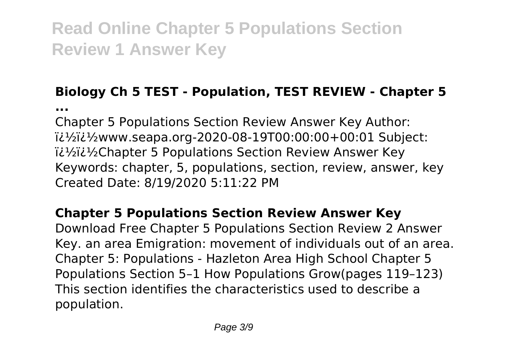## **Biology Ch 5 TEST - Population, TEST REVIEW - Chapter 5**

**...**

Chapter 5 Populations Section Review Answer Key Author: ��www.seapa.org-2020-08-19T00:00:00+00:01 Subject: ii<sup>1</sup>/<sub>2</sub>ii<sup>1</sup>/<sub>2</sub>Chapter 5 Populations Section Review Answer Key Keywords: chapter, 5, populations, section, review, answer, key Created Date: 8/19/2020 5:11:22 PM

## **Chapter 5 Populations Section Review Answer Key**

Download Free Chapter 5 Populations Section Review 2 Answer Key. an area Emigration: movement of individuals out of an area. Chapter 5: Populations - Hazleton Area High School Chapter 5 Populations Section 5–1 How Populations Grow(pages 119–123) This section identifies the characteristics used to describe a population.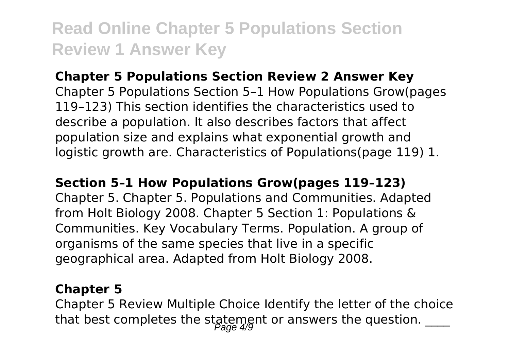### **Chapter 5 Populations Section Review 2 Answer Key**

Chapter 5 Populations Section 5–1 How Populations Grow(pages 119–123) This section identifies the characteristics used to describe a population. It also describes factors that affect population size and explains what exponential growth and logistic growth are. Characteristics of Populations(page 119) 1.

#### **Section 5–1 How Populations Grow(pages 119–123)**

Chapter 5. Chapter 5. Populations and Communities. Adapted from Holt Biology 2008. Chapter 5 Section 1: Populations & Communities. Key Vocabulary Terms. Population. A group of organisms of the same species that live in a specific geographical area. Adapted from Holt Biology 2008.

#### **Chapter 5**

Chapter 5 Review Multiple Choice Identify the letter of the choice that best completes the statement or answers the question.  $\frac{1}{2}$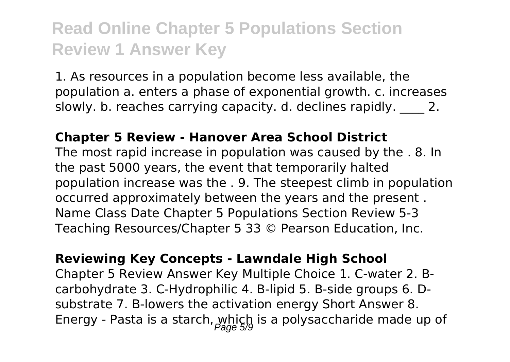1. As resources in a population become less available, the population a. enters a phase of exponential growth. c. increases slowly. b. reaches carrying capacity. d. declines rapidly. 2.

#### **Chapter 5 Review - Hanover Area School District**

The most rapid increase in population was caused by the . 8. In the past 5000 years, the event that temporarily halted population increase was the . 9. The steepest climb in population occurred approximately between the years and the present . Name Class Date Chapter 5 Populations Section Review 5-3 Teaching Resources/Chapter 5 33 © Pearson Education, Inc.

**Reviewing Key Concepts - Lawndale High School** Chapter 5 Review Answer Key Multiple Choice 1. C-water 2. Bcarbohydrate 3. C-Hydrophilic 4. B-lipid 5. B-side groups 6. Dsubstrate 7. B-lowers the activation energy Short Answer 8. Energy - Pasta is a starch,  $w_n(x)$  is a polysaccharide made up of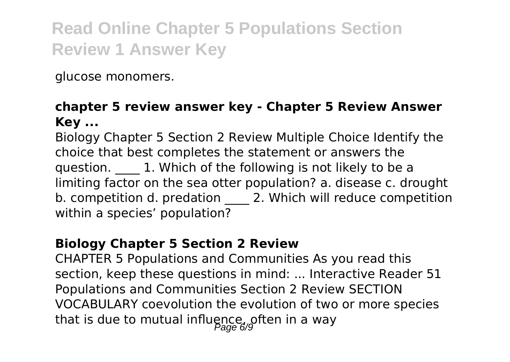glucose monomers.

### **chapter 5 review answer key - Chapter 5 Review Answer Key ...**

Biology Chapter 5 Section 2 Review Multiple Choice Identify the choice that best completes the statement or answers the question. **1.** Which of the following is not likely to be a limiting factor on the sea otter population? a. disease c. drought b. competition d. predation 2. Which will reduce competition within a species' population?

### **Biology Chapter 5 Section 2 Review**

CHAPTER 5 Populations and Communities As you read this section, keep these questions in mind: ... Interactive Reader 51 Populations and Communities Section 2 Review SECTION VOCABULARY coevolution the evolution of two or more species that is due to mutual influence, often in a way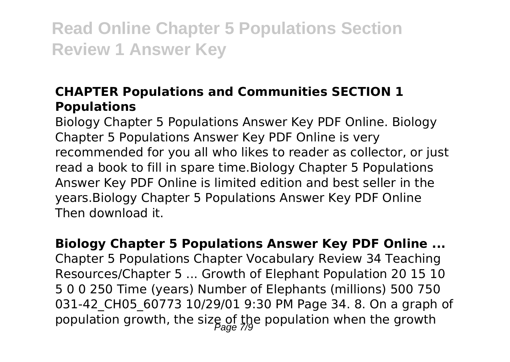## **CHAPTER Populations and Communities SECTION 1 Populations**

Biology Chapter 5 Populations Answer Key PDF Online. Biology Chapter 5 Populations Answer Key PDF Online is very recommended for you all who likes to reader as collector, or just read a book to fill in spare time.Biology Chapter 5 Populations Answer Key PDF Online is limited edition and best seller in the years.Biology Chapter 5 Populations Answer Key PDF Online Then download it.

**Biology Chapter 5 Populations Answer Key PDF Online ...** Chapter 5 Populations Chapter Vocabulary Review 34 Teaching Resources/Chapter 5 ... Growth of Elephant Population 20 15 10 5 0 0 250 Time (years) Number of Elephants (millions) 500 750 031-42 CH05 60773 10/29/01 9:30 PM Page 34. 8. On a graph of population growth, the size of the population when the growth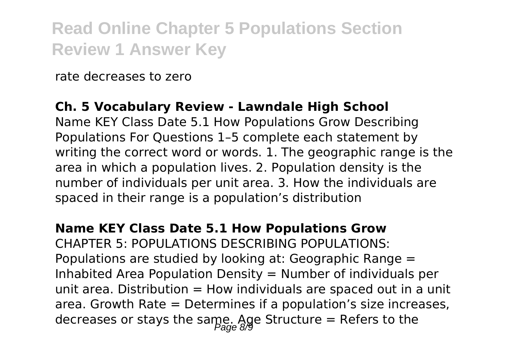rate decreases to zero

### **Ch. 5 Vocabulary Review - Lawndale High School**

Name KEY Class Date 5.1 How Populations Grow Describing Populations For Questions 1–5 complete each statement by writing the correct word or words. 1. The geographic range is the area in which a population lives. 2. Population density is the number of individuals per unit area. 3. How the individuals are spaced in their range is a population's distribution

#### **Name KEY Class Date 5.1 How Populations Grow**

CHAPTER 5: POPULATIONS DESCRIBING POPULATIONS: Populations are studied by looking at: Geographic Range = Inhabited Area Population Density  $=$  Number of individuals per unit area. Distribution  $=$  How individuals are spaced out in a unit area. Growth Rate = Determines if a population's size increases, decreases or stays the same. Age Structure = Refers to the